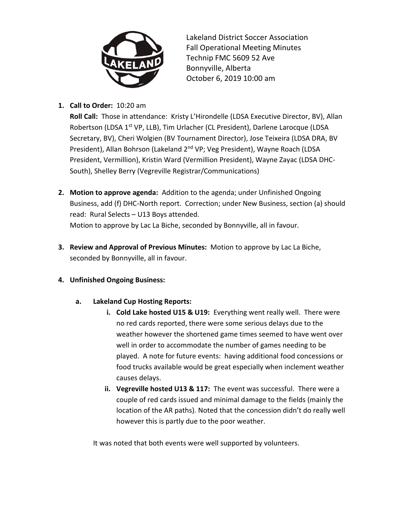

Lakeland District Soccer Association Fall Operational Meeting Minutes Technip FMC 5609 52 Ave Bonnyville, Alberta October 6, 2019 10:00 am

# **1. Call to Order:** 10:20 am

**Roll Call:** Those in attendance: Kristy L'Hirondelle (LDSA Executive Director, BV), Allan Robertson (LDSA 1<sup>st</sup> VP, LLB), Tim Urlacher (CL President), Darlene Larocque (LDSA Secretary, BV), Cheri Wolgien (BV Tournament Director), Jose Teixeira (LDSA DRA, BV President), Allan Bohrson (Lakeland 2<sup>nd</sup> VP; Veg President), Wayne Roach (LDSA President, Vermillion), Kristin Ward (Vermillion President), Wayne Zayac (LDSA DHC-South), Shelley Berry (Vegreville Registrar/Communications)

- **2. Motion to approve agenda:** Addition to the agenda; under Unfinished Ongoing Business, add (f) DHC-North report. Correction; under New Business, section (a) should read: Rural Selects – U13 Boys attended. Motion to approve by Lac La Biche, seconded by Bonnyville, all in favour.
- **3. Review and Approval of Previous Minutes:** Motion to approve by Lac La Biche, seconded by Bonnyville, all in favour.
- **4. Unfinished Ongoing Business:**
	- **a. Lakeland Cup Hosting Reports:** 
		- **i. Cold Lake hosted U15 & U19:** Everything went really well. There were no red cards reported, there were some serious delays due to the weather however the shortened game times seemed to have went over well in order to accommodate the number of games needing to be played. A note for future events: having additional food concessions or food trucks available would be great especially when inclement weather causes delays.
		- **ii. Vegreville hosted U13 & 117:** The event was successful. There were a couple of red cards issued and minimal damage to the fields (mainly the location of the AR paths). Noted that the concession didn't do really well however this is partly due to the poor weather.

It was noted that both events were well supported by volunteers.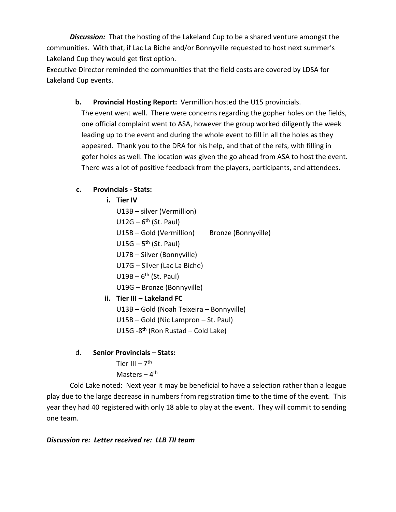*Discussion:* That the hosting of the Lakeland Cup to be a shared venture amongst the communities. With that, if Lac La Biche and/or Bonnyville requested to host next summer's Lakeland Cup they would get first option.

Executive Director reminded the communities that the field costs are covered by LDSA for Lakeland Cup events.

> **b. Provincial Hosting Report:** Vermillion hosted the U15 provincials. The event went well. There were concerns regarding the gopher holes on the fields, one official complaint went to ASA, however the group worked diligently the week leading up to the event and during the whole event to fill in all the holes as they appeared. Thank you to the DRA for his help, and that of the refs, with filling in gofer holes as well. The location was given the go ahead from ASA to host the event. There was a lot of positive feedback from the players, participants, and attendees.

# **c. Provincials - Stats:**

- **i. Tier IV**
- U13B silver (Vermillion) U12G – 6<sup>th</sup> (St. Paul) U15B – Gold (Vermillion) Bronze (Bonnyville) U15G – 5<sup>th</sup> (St. Paul) U17B – Silver (Bonnyville) U17G – Silver (Lac La Biche)  $U19B - 6^{th}$  (St. Paul) U19G – Bronze (Bonnyville) **ii. Tier III – Lakeland FC** U13B – Gold (Noah Teixeira – Bonnyville) U15B – Gold (Nic Lampron – St. Paul) U15G -8<sup>th</sup> (Ron Rustad – Cold Lake)
- d. **Senior Provincials – Stats:**
	- Tier III 7<sup>th</sup> Masters – 4<sup>th</sup>

Cold Lake noted: Next year it may be beneficial to have a selection rather than a league play due to the large decrease in numbers from registration time to the time of the event. This year they had 40 registered with only 18 able to play at the event. They will commit to sending one team.

### *Discussion re: Letter received re: LLB TII team*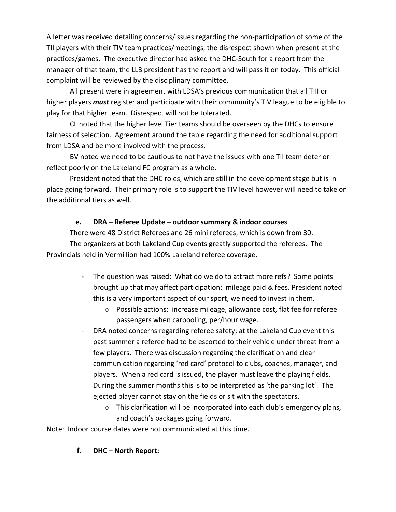A letter was received detailing concerns/issues regarding the non-participation of some of the TII players with their TIV team practices/meetings, the disrespect shown when present at the practices/games. The executive director had asked the DHC-South for a report from the manager of that team, the LLB president has the report and will pass it on today. This official complaint will be reviewed by the disciplinary committee.

All present were in agreement with LDSA's previous communication that all TIII or higher players *must* register and participate with their community's TIV league to be eligible to play for that higher team. Disrespect will not be tolerated.

CL noted that the higher level Tier teams should be overseen by the DHCs to ensure fairness of selection. Agreement around the table regarding the need for additional support from LDSA and be more involved with the process.

BV noted we need to be cautious to not have the issues with one TII team deter or reflect poorly on the Lakeland FC program as a whole.

President noted that the DHC roles, which are still in the development stage but is in place going forward. Their primary role is to support the TIV level however will need to take on the additional tiers as well.

#### **e. DRA – Referee Update – outdoor summary & indoor courses**

There were 48 District Referees and 26 mini referees, which is down from 30. The organizers at both Lakeland Cup events greatly supported the referees. The Provincials held in Vermillion had 100% Lakeland referee coverage.

- The question was raised: What do we do to attract more refs? Some points brought up that may affect participation: mileage paid & fees. President noted this is a very important aspect of our sport, we need to invest in them.
	- o Possible actions: increase mileage, allowance cost, flat fee for referee passengers when carpooling, per/hour wage.
- DRA noted concerns regarding referee safety; at the Lakeland Cup event this past summer a referee had to be escorted to their vehicle under threat from a few players. There was discussion regarding the clarification and clear communication regarding 'red card' protocol to clubs, coaches, manager, and players. When a red card is issued, the player must leave the playing fields. During the summer months this is to be interpreted as 'the parking lot'. The ejected player cannot stay on the fields or sit with the spectators.
	- o This clarification will be incorporated into each club's emergency plans, and coach's packages going forward.

Note: Indoor course dates were not communicated at this time.

### **f. DHC – North Report:**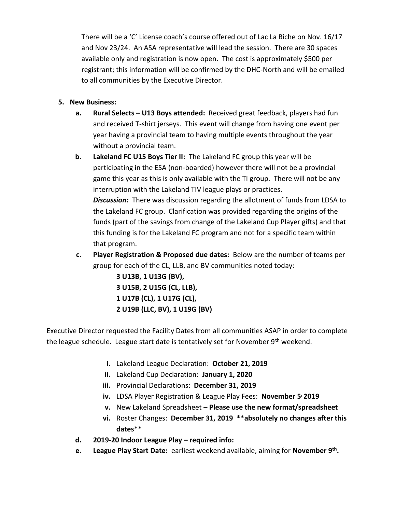There will be a 'C' License coach's course offered out of Lac La Biche on Nov. 16/17 and Nov 23/24. An ASA representative will lead the session. There are 30 spaces available only and registration is now open. The cost is approximately \$500 per registrant; this information will be confirmed by the DHC-North and will be emailed to all communities by the Executive Director.

#### **5. New Business:**

- **a. Rural Selects – U13 Boys attended:** Received great feedback, players had fun and received T-shirt jerseys. This event will change from having one event per year having a provincial team to having multiple events throughout the year without a provincial team.
- **b. Lakeland FC U15 Boys Tier II:** The Lakeland FC group this year will be participating in the ESA (non-boarded) however there will not be a provincial game this year as this is only available with the TI group. There will not be any interruption with the Lakeland TIV league plays or practices. *Discussion:* There was discussion regarding the allotment of funds from LDSA to the Lakeland FC group. Clarification was provided regarding the origins of the funds (part of the savings from change of the Lakeland Cup Player gifts) and that

this funding is for the Lakeland FC program and not for a specific team within that program.

**c. Player Registration & Proposed due dates:** Below are the number of teams per group for each of the CL, LLB, and BV communities noted today:

> **3 U13B, 1 U13G (BV), 3 U15B, 2 U15G (CL, LLB), 1 U17B (CL), 1 U17G (CL), 2 U19B (LLC, BV), 1 U19G (BV)**

Executive Director requested the Facility Dates from all communities ASAP in order to complete the league schedule. League start date is tentatively set for November 9<sup>th</sup> weekend.

- **i.** Lakeland League Declaration: **October 21, 2019**
- **ii.** Lakeland Cup Declaration: **January 1, 2020**
- **iii.** Provincial Declarations: **December 31, 2019**
- **iv.** LDSA Player Registration & League Play Fees: **November 5, 2019**
- **v.** New Lakeland Spreadsheet **Please use the new format/spreadsheet**
- **vi.** Roster Changes: **December 31, 2019 \*\*absolutely no changes after this dates\*\***
- **d. 2019-20 Indoor League Play – required info:**
- **e. League Play Start Date:** earliest weekend available, aiming for **November 9th .**